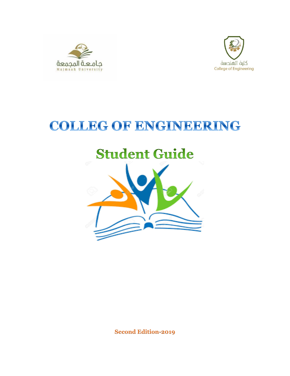



# COLLEG OF ENGINEERING

# **Student Guide**



**Second Edition-2019**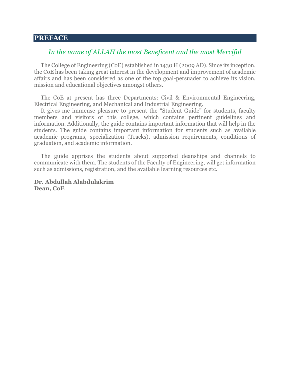#### **PREFACE**

#### *In the name of ALLAH the most Beneficent and the most Merciful*

The College of Engineering (CoE) established in 1430 H (2009 AD). Since its inception, the CoE has been taking great interest in the development and improvement of academic affairs and has been considered as one of the top goal-persuader to achieve its vision, mission and educational objectives amongst others.

The CoE at present has three Departments: Civil & Environmental Engineering, Electrical Engineering, and Mechanical and Industrial Engineering.

It gives me immense pleasure to present the "Student Guide" for students, faculty members and visitors of this college, which contains pertinent guidelines and information. Additionally, the guide contains important information that will help in the students. The guide contains important information for students such as available academic programs, specialization (Tracks), admission requirements, conditions of graduation, and academic information.

The guide apprises the students about supported deanships and channels to communicate with them. The students of the Faculty of Engineering, will get information such as admissions, registration, and the available learning resources etc.

**Dr. Abdullah Alabdulakrim Dean, CoE**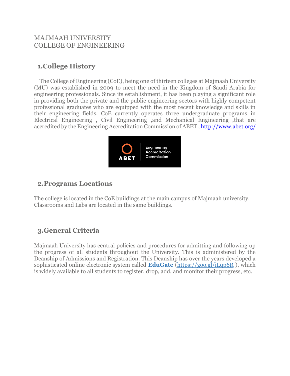## MAJMAAH UNIVERSITY COLLEGE OF ENGINEERING

# **1.College History**

 The College of Engineering (CoE), being one of thirteen colleges at Majmaah University (MU) was established in 2009 to meet the need in the Kingdom of Saudi Arabia for engineering professionals. Since its establishment, it has been playing a significant role in providing both the private and the public engineering sectors with highly competent professional graduates who are equipped with the most recent knowledge and skills in their engineering fields. CoE currently operates three undergraduate programs in Electrical Engineering , Civil Engineering ,and Mechanical Engineering ,that are accredited by the Engineering Accreditation Commission of ABET ,<http://www.abet.org/>



# **2.Programs Locations**

The college is located in the CoE buildings at the main campus of Majmaah university. Classrooms and Labs are located in the same buildings.

# **3.General Criteria**

Majmaah University has central policies and procedures for admitting and following up the progress of all students throughout the University. This is administered by the Deanship of Admissions and Registration. This Deanship has over the years developed a sophisticated online electronic system called **EduGate** [\(https://goo.gl/iLqp6R](https://goo.gl/iLqp6R) ), which is widely available to all students to register, drop, add, and monitor their progress, etc.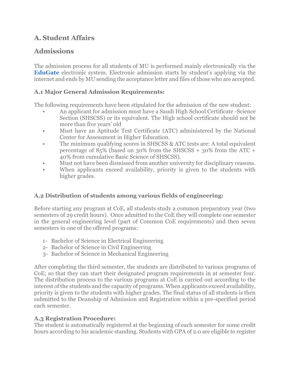# **A. Student Affairs**

# **Admissions**

The admission process for all students of MU is performed mainly electronically via the **EduGate** electronic system. Electronic admission starts by student's applying via the internet and ends by MU sending the acceptance letter and files of those who are accepted.

## **A.1 Major General Admission Requirements:**

The following requirements have been stipulated for the admission of the new student:

- An applicant for admission must have a Saudi High School Certificate -Science Section (SHSCSS) or its equivalent. The High school certificate should not be more than five years' old
- Must have an Aptitude Test Certificate (ATC) administered by the National Center for Assessment in Higher Education.
- The minimum qualifying scores in SHSCSS & ATC tests are: A total equivalent percentage of 85% (based on 30% from the SHSCSS + 30% from the ATC + 40% from cumulative Basic Science of SHSCSS).
- Must not have been dismissed from another university for disciplinary reasons.
- When applicants exceed availability, priority is given to the students with higher grades.

# **A.2 Distribution of students among various fields of engineering:**

Before starting any program at CoE, all students study a common preparatory year (two semesters of 29 credit hours). Once admitted to the CoE they will complete one semester in the general engineering level (part of Common CoE requirements) and then seven semesters in one of the offered programs:

- 1- Bachelor of Science in Electrical Engineering
- 2- Bachelor of Science in Civil Engineering
- 3- Bachelor of Science in Mechanical Engineering

After completing the third semester, the students are distributed to various programs of CoE; so that they can start their designated program requirements in at semester four. The distribution process to the various programs at CoE is carried out according to the interest of the students and the capacity of programs. When applicants exceed availability, priority is given to the students with higher grades. The final status of all students is then submitted to the Deanship of Admission and Registration within a pre-specified period each semester.

## **A.3 Registration Procedure:**

The student is automatically registered at the beginning of each semester for some credit hours according to his academic standing. Students with GPA of 2.0 are eligible to register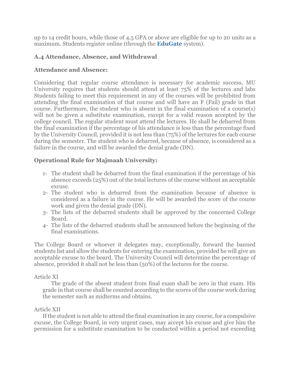up to 14 credit hours, while those of 4.5 GPA or above are eligible for up to 20 units as a maximum. Students register online (through the **EduGate** system).

#### **A.4 Attendance, Absence, and Withdrawal**

#### **Attendance and Absence:**

Considering that regular course attendance is necessary for academic success, MU University requires that students should attend at least 75% of the lectures and labs Students failing to meet this requirement in any of the courses will be prohibited from attending the final examination of that course and will have an F (Fail) grade in that course. Furthermore, the student who is absent in the final examination of a course(s) will not be given a substitute examination, except for a valid reason accepted by the college council. The regular student must attend the lectures. He shall be debarred from the final examination if the percentage of his attendance is less than the percentage fixed by the University Council, provided it is not less than (75%) of the lectures for each course during the semester. The student who is debarred, because of absence, is considered as a failure in the course, and will be awarded the denial grade (DN).

#### **Operational Rule for Majmaah University:**

- 1- The student shall be debarred from the final examination if the percentage of his absence exceeds (25%) out of the total lectures of the course without an acceptable excuse.
- 2- The student who is debarred from the examination because of absence is considered as a failure in the course. He will be awarded the score of the course work and given the denial grade (DN).
- 3- The lists of the debarred students shall be approved by the concerned College Board.
- 4- The lists of the debarred students shall be announced before the beginning of the final examinations.

The College Board or whoever it delegates may, exceptionally, forward the banned students list and allow the students for entering the examination, provided he will give an acceptable excuse to the board. The University Council will determine the percentage of absence, provided it shall not be less than (50%) of the lectures for the course.

#### Article XI

The grade of the absent student from final exam shall be zero in that exam. His grade in that course shall be counted according to the scores of the course work during the semester such as midterms and obtains.

#### Article XII

If the student is not able to attend the final examination in any course, for a compulsive excuse, the College Board, in very urgent cases, may accept his excuse and give him the permission for a substitute examination to be conducted within a period not exceeding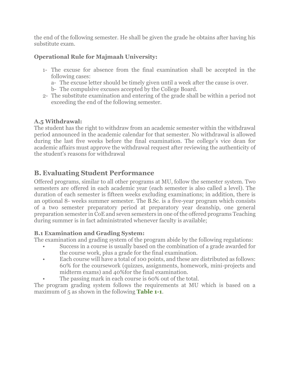the end of the following semester. He shall be given the grade he obtains after having his substitute exam.

# **Operational Rule for Majmaah University:**

- 1- The excuse for absence from the final examination shall be accepted in the following cases:
	- a- The excuse letter should be timely given until a week after the cause is over.
	- b- The compulsive excuses accepted by the College Board.
- 2- The substitute examination and entering of the grade shall be within a period not exceeding the end of the following semester.

# **A.5 Withdrawal:**

The student has the right to withdraw from an academic semester within the withdrawal period announced in the academic calendar for that semester. No withdrawal is allowed during the last five weeks before the final examination. The college's vice dean for academic affairs must approve the withdrawal request after reviewing the authenticity of the student's reasons for withdrawal

# **B. Evaluating Student Performance**

Offered programs, similar to all other programs at MU, follow the semester system. Two semesters are offered in each academic year (each semester is also called a level). The duration of each semester is fifteen weeks excluding examinations; in addition, there is an optional 8- weeks summer semester. The B.Sc. is a five-year program which consists of a two semester preparatory period at preparatory year deanship, one general preparation semester in CoE and seven semesters in one of the offered programs Teaching during summer is in fact administrated whenever faculty is available;

## **B.1 Examination and Grading System:**

The examination and grading system of the program abide by the following regulations:

- Success in a course is usually based on the combination of a grade awarded for the course work, plus a grade for the final examination.
- Each course will have a total of 100 points, and these are distributed as follows: 60% for the coursework (quizzes, assignments, homework, mini-projects and midterm exams) and 40%for the final examination.
- The passing mark in each course is 60% out of the total.

The program grading system follows the requirements at MU which is based on a maximum of 5 as shown in the following **Table 1-1**.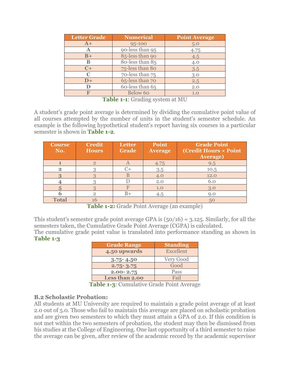| <b>Letter Grade</b> | <b>Numerical</b> | <b>Point Average</b> |  |
|---------------------|------------------|----------------------|--|
| $A+$                | 95-100           | 5.0                  |  |
| A                   | 90-less than 95  | 4.75                 |  |
| $B+$                | 85-less than 90  | 4.5                  |  |
| в                   | 80-less than 85  | 4.0                  |  |
| $C+$                | 75-less than 80  | 3.5                  |  |
| C                   | 70-less than 75  | 3.0                  |  |
| $D+$                | 65-less than 70  | 2.5                  |  |
|                     | 60-less than 65  | 2.0                  |  |
|                     | Below 60         | 1.0                  |  |

**Table 1-1**: Grading system at MU

A student's grade point average is determined by dividing the cumulative point value of all courses attempted by the number of units in the student's semester schedule. An example is the following hypothetical student's report having six courses in a particular semester is shown in **Table 1-2**.

| <b>Course</b><br>No. | <b>Credit</b><br><b>Hours</b> | <b>Letter</b><br><b>Grade</b> | Point<br><b>Average</b> | <b>Grade Point</b><br>(Credit Hours × Point<br><b>Average)</b> |
|----------------------|-------------------------------|-------------------------------|-------------------------|----------------------------------------------------------------|
|                      | $\overline{2}$                |                               | 4.75                    | 9.5                                                            |
| $\overline{2}$       |                               |                               | 3.5                     | 10.5                                                           |
|                      |                               |                               | 4.0                     | 12.0                                                           |
|                      |                               |                               | 2.0                     | 6.0                                                            |
|                      |                               |                               | 1.0                     | 3.0                                                            |
|                      | റ                             | $B+$                          | 4.5                     | 9.0                                                            |
| <b>Total</b>         |                               |                               |                         | 50                                                             |

**Table 1-2:** Grade Point Average (an example)

This student's semester grade point average GPA is  $(50/16) = 3.125$ . Similarly, for all the semesters taken, the Cumulative Grade Point Average (CGPA) is calculated.

The cumulative grade point value is translated into performance standing as shown in **Table 1-3**

| <b>Grade Range</b> | <b>Standing</b> |  |
|--------------------|-----------------|--|
| 4.50 upwards       | Excellent       |  |
| $3.75 - 4.50$      | Very Good       |  |
| $2.75 - 3.75$      | Good            |  |
| $2.00 - 2.75$      | Pass            |  |
| Less than 2.00     | Fail            |  |

**Table 1-3**: Cumulative Grade Point Average

#### **B.2 Scholastic Probation:**

All students at MU University are required to maintain a grade point average of at least 2.0 out of 5.0. Those who fail to maintain this average are placed on scholastic probation and are given two semesters to which they must attain a GPA of 2.0. If this condition is not met within the two semesters of probation, the student may then be dismissed from his studies at the College of Engineering. One last opportunity of a third semester to raise the average can be given, after review of the academic record by the academic supervisor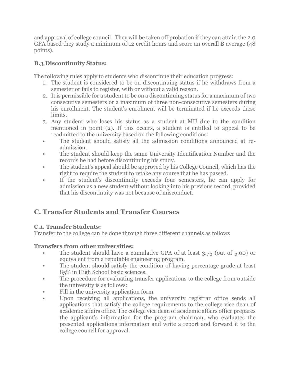and approval of college council. They will be taken off probation if they can attain the 2.0 GPA based they study a minimum of 12 credit hours and score an overall B average (48 points).

## **B.3 Discontinuity Status:**

The following rules apply to students who discontinue their education progress:

- 1. The student is considered to be on discontinuing status if he withdraws from a semester or fails to register, with or without a valid reason.
- 2. It is permissible for a student to be on a discontinuing status for a maximum of two consecutive semesters or a maximum of three non-consecutive semesters during his enrollment. The student's enrolment will be terminated if he exceeds these limits.
- 3. Any student who loses his status as a student at MU due to the condition mentioned in point (2). If this occurs, a student is entitled to appeal to be readmitted to the university based on the following conditions:
- The student should satisfy all the admission conditions announced at readmission.
- The student should keep the same University Identification Number and the records he had before discontinuing his study.
- The student's appeal should be approved by his College Council, which has the right to require the student to retake any course that he has passed.
- If the student's discontinuity exceeds four semesters, he can apply for admission as a new student without looking into his previous record, provided that his discontinuity was not because of misconduct.

# **C. Transfer Students and Transfer Courses**

## **C.1. Transfer Students:**

Transfer to the college can be done through three different channels as follows

# **Transfers from other universities:**

- The student should have a cumulative GPA of at least 3.75 (out of 5.00) or equivalent from a reputable engineering program.
- The student should satisfy the condition of having percentage grade at least 85% in High School basic sciences.
- The procedure for evaluating transfer applications to the college from outside the university is as follows:
- Fill in the university application form
- Upon receiving all applications, the university registrar office sends all applications that satisfy the college requirements to the college vice dean of academic affairs office. The college vice dean of academic affairs office prepares the applicant's information for the program chairman, who evaluates the presented applications information and write a report and forward it to the college council for approval.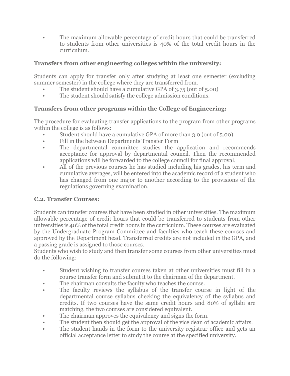• The maximum allowable percentage of credit hours that could be transferred to students from other universities is 40% of the total credit hours in the curriculum.

#### **Transfers from other engineering colleges within the university:**

Students can apply for transfer only after studying at least one semester (excluding summer semester) in the college where they are transferred from.

- The student should have a cumulative GPA of 3.75 (out of 5.00)
- The student should satisfy the college admission conditions.

#### **Transfers from other programs within the College of Engineering:**

The procedure for evaluating transfer applications to the program from other programs within the college is as follows:

- Student should have a cumulative GPA of more than 3.0 (out of 5.00)
- Fill in the between Departments Transfer Form
- The departmental committee studies the application and recommends acceptance for approval by departmental council. Then the recommended applications will be forwarded to the college council for final approval.
- All of the previous courses he has studied including his grades, his term and cumulative averages, will be entered into the academic record of a student who has changed from one major to another according to the provisions of the regulations governing examination.

#### **C.2. Transfer Courses:**

Students can transfer courses that have been studied in other universities. The maximum allowable percentage of credit hours that could be transferred to students from other universities is 40% of the total credit hours in the curriculum. These courses are evaluated by the Undergraduate Program Committee and faculties who teach these courses and approved by the Department head. Transferred credits are not included in the GPA, and a passing grade is assigned to those courses.

Students who wish to study and then transfer some courses from other universities must do the following:

- Student wishing to transfer courses taken at other universities must fill in a course transfer form and submit it to the chairman of the department.
- The chairman consults the faculty who teaches the course.
- The faculty reviews the syllabus of the transfer course in light of the departmental course syllabus checking the equivalency of the syllabus and credits. If two courses have the same credit hours and 80% of syllabi are matching, the two courses are considered equivalent.
- The chairman approves the equivalency and signs the form.
- The student then should get the approval of the vice dean of academic affairs.
- The student hands in the form to the university registrar office and gets an official acceptance letter to study the course at the specified university.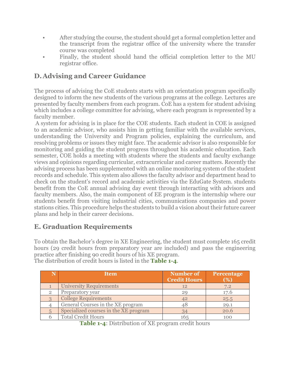- After studying the course, the student should get a formal completion letter and the transcript from the registrar office of the university where the transfer course was completed
- Finally, the student should hand the official completion letter to the MU registrar office.

# **D.Advising and Career Guidance**

The process of advising the CoE students starts with an orientation program specifically designed to inform the new students of the various programs at the college. Lectures are presented by faculty members from each program. CoE has a system for student advising which includes a college committee for advising, where each program is represented by a faculty member.

A system for advising is in place for the COE students. Each student in COE is assigned to an academic advisor, who assists him in getting familiar with the available services, understanding the University and Program policies, explaining the curriculum, and resolving problems or issues they might face. The academic advisor is also responsible for monitoring and guiding the student progress throughout his academic education. Each semester, COE holds a meeting with students where the students and faculty exchange views and opinions regarding curricular, extracurricular and career matters. Recently the advising process has been supplemented with an online monitoring system of the student records and schedule. This system also allows the faculty advisor and department head to check on the student's record and academic activities via the EduGate System. students benefit from the CoE annual advising day event through interacting with advisors and faculty members. Also, the main component of EE program is the internship where our students benefit from visiting industrial cities, communications companies and power stations cities. This procedure helps the students to build a vision about their future career plans and help in their career decisions.

# **E. Graduation Requirements**

To obtain the Bachelor's degree in XE Engineering, the student must complete 165 credit hours (29 credit hours from preparatory year are included) and pass the engineering practice after finishing 90 credit hours of his XE program.

The distribution of credit hours is listed in the **Table 1-4**.

|                | <b>Item</b>                           | Number of<br><b>Credit Hours</b> | Percentage<br>(%) |
|----------------|---------------------------------------|----------------------------------|-------------------|
|                | <b>University Requirements</b>        | 12                               | 7.2               |
| $\overline{2}$ | Preparatory year                      | 20                               | 17.6              |
|                | <b>College Requirements</b>           | 42                               | 25.5              |
|                | General Courses in the XE program     | 18                               | 29.1              |
|                | Specialized courses in the XE program | 34                               | 20.6              |
|                | <b>Total Credit Hours</b>             | 165                              | 100               |

**Table 1-4**: Distribution of XE program credit hours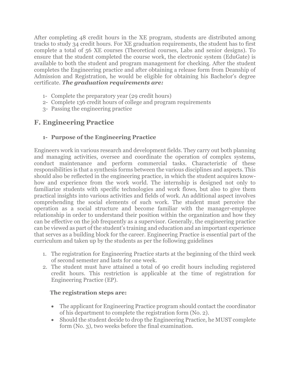After completing 48 credit hours in the XE program, students are distributed among tracks to study 34 credit hours. For XE graduation requirements, the student has to first complete a total of 56 XE courses (Theoretical courses, Labs and senior designs). To ensure that the student completed the course work, the electronic system (EduGate) is available to both the student and program management for checking. After the student completes the Engineering practice and after obtaining a release form from Deanship of Admission and Registration, he would be eligible for obtaining his Bachelor's degree certificate. *The graduation requirements are:*

- 1- Complete the preparatory year (29 credit hours)
- 2- Complete 136 credit hours of college and program requirements
- 3- Passing the engineering practice

# **F. Engineering Practice**

## **1- Purpose of the Engineering Practice**

Engineers work in various research and development fields. They carry out both planning and managing activities, oversee and coordinate the operation of complex systems, conduct maintenance and perform commercial tasks. Characteristic of these responsibilities is that a synthesis forms between the various disciplines and aspects. This should also be reflected in the engineering practice, in which the student acquires knowhow and experience from the work world. The internship is designed not only to familiarize students with specific technologies and work flows, but also to give them practical insights into various activities and fields of work. An additional aspect involves comprehending the social elements of such work. The student must perceive the operation as a social structure and become familiar with the manager-employee relationship in order to understand their position within the organization and how they can be effective on the job frequently as a supervisor. Generally, the engineering practice can be viewed as part of the student's training and education and an important experience that serves as a building block for the career. Engineering Practice is essential part of the curriculum and taken up by the students as per the following guidelines

- 1. The registration for Engineering Practice starts at the beginning of the third week of second semester and lasts for one week.
- 2. The student must have attained a total of 90 credit hours including registered credit hours. This restriction is applicable at the time of registration for Engineering Practice (EP).

#### **The registration steps are:**

- The applicant for Engineering Practice program should contact the coordinator of his department to complete the registration form (No. 2).
- Should the student decide to drop the Engineering Practice, he MUST complete form (No. 3), two weeks before the final examination.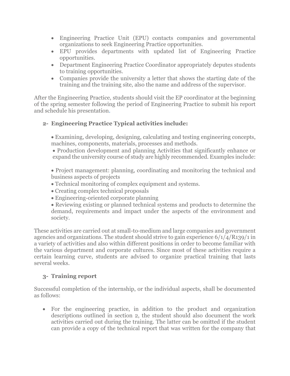- Engineering Practice Unit (EPU) contacts companies and governmental organizations to seek Engineering Practice opportunities.
- EPU provides departments with updated list of Engineering Practice opportunities.
- Department Engineering Practice Coordinator appropriately deputes students to training opportunities.
- Companies provide the university a letter that shows the starting date of the training and the training site, also the name and address of the supervisor.

After the Engineering Practice, students should visit the EP coordinator at the beginning of the spring semester following the period of Engineering Practice to submit his report and schedule his presentation.

## **2- Engineering Practice Typical activities include:**

 Examining, developing, designing, calculating and testing engineering concepts, machines, components, materials, processes and methods.

 Production development and planning Activities that significantly enhance or expand the university course of study are highly recommended. Examples include:

 Project management: planning, coordinating and monitoring the technical and business aspects of projects

- Technical monitoring of complex equipment and systems.
- Creating complex technical proposals
- Engineering-oriented corporate planning

 Reviewing existing or planned technical systems and products to determine the demand, requirements and impact under the aspects of the environment and society.

These activities are carried out at small-to-medium and large companies and government agencies and organizations. The student should strive to gain experience 6/1/4/R139/1 in a variety of activities and also within different positions in order to become familiar with the various department and corporate cultures. Since most of these activities require a certain learning curve, students are advised to organize practical training that lasts several weeks.

## **3- Training report**

Successful completion of the internship, or the individual aspects, shall be documented as follows:

 For the engineering practice, in addition to the product and organization descriptions outlined in section 2, the student should also document the work activities carried out during the training. The latter can be omitted if the student can provide a copy of the technical report that was written for the company that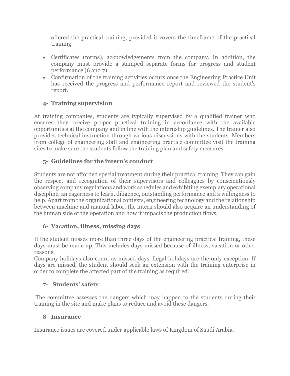offered the practical training, provided it covers the timeframe of the practical training.

- Certificates (forms), acknowledgements from the company. In addition, the company must provide a stamped separate forms for progress and student performance (6 and 7).
- Confirmation of the training activities occurs once the Engineering Practice Unit has received the progress and performance report and reviewed the student's report.

# **4- Training supervision**

At training companies, students are typically supervised by a qualified trainer who ensures they receive proper practical training in accordance with the available opportunities at the company and in line with the internship guidelines. The trainer also provides technical instruction through various discussions with the students. Members from college of engineering staff and engineering practice committee visit the training sites to make sure the students follow the training plan and safety measures.

# **5- Guidelines for the intern's conduct**

Students are not afforded special treatment during their practical training. They can gain the respect and recognition of their supervisors and colleagues by conscientiously observing company regulations and work schedules and exhibiting exemplary operational discipline, an eagerness to learn, diligence, outstanding performance and a willingness to help. Apart from the organizational contexts, engineering technology and the relationship between machine and manual labor, the intern should also acquire an understanding of the human side of the operation and how it impacts the production flows.

## **6- Vacation, illness, missing days**

If the student misses more than three days of the engineering practical training, these days must be made up. This includes days missed because of illness, vacation or other reasons.

Company holidays also count as missed days. Legal holidays are the only exception. If days are missed, the student should seek an extension with the training enterprise in order to complete the affected part of the training as required.

## **7- Students' safety**

The committee assesses the dangers which may happen to the students during their training in the site and make plans to reduce and avoid these dangers.

#### **8- Insurance**

Insurance issues are covered under applicable laws of Kingdom of Saudi Arabia.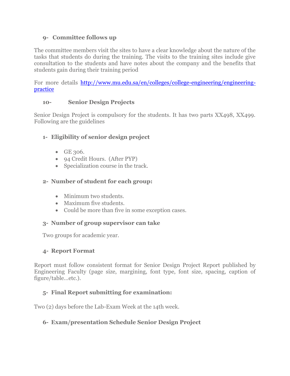#### **9- Committee follows up**

The committee members visit the sites to have a clear knowledge about the nature of the tasks that students do during the training. The visits to the training sites include give consultation to the students and have notes about the company and the benefits that students gain during their training period

For more details [http://www.mu.edu.sa/en/colleges/college-engineering/engineering](http://www.mu.edu.sa/en/colleges/college-engineering/engineering-practice)[practice](http://www.mu.edu.sa/en/colleges/college-engineering/engineering-practice)

#### **10- Senior Design Projects**

Senior Design Project is compulsory for the students. It has two parts XX498, XX499. Following are the guidelines

## **1- Eligibility of senior design project**

- $\bullet$  GE 306.
- 94 Credit Hours. (After PYP)
- Specialization course in the track.

#### **2- Number of student for each group:**

- Minimum two students.
- Maximum five students.
- Could be more than five in some exception cases.

#### **3- Number of group supervisor can take**

Two groups for academic year.

#### **4- Report Format**

Report must follow consistent format for Senior Design Project Report published by Engineering Faculty (page size, margining, font type, font size, spacing, caption of figure/table…etc.).

## **5- Final Report submitting for examination:**

Two (2) days before the Lab-Exam Week at the 14th week.

## **6- Exam/presentation Schedule Senior Design Project**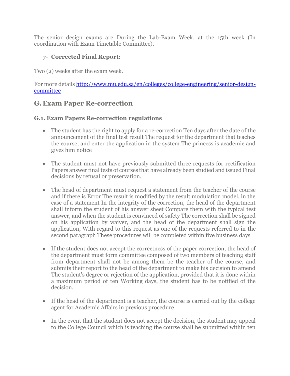The senior design exams are During the Lab-Exam Week, at the 15th week (In coordination with Exam Timetable Committee).

## **7- Corrected Final Report:**

Two (2) weeks after the exam week.

For more details [http://www.mu.edu.sa/en/colleges/college-engineering/senior-design](http://www.mu.edu.sa/en/colleges/college-engineering/senior-design-committee)[committee](http://www.mu.edu.sa/en/colleges/college-engineering/senior-design-committee)

# **G. Exam Paper Re-correction**

#### **G.1. Exam Papers Re-correction regulations**

- The student has the right to apply for a re-correction Ten days after the date of the announcement of the final test result The request for the department that teaches the course, and enter the application in the system The princess is academic and gives him notice
- The student must not have previously submitted three requests for rectification Papers answer final tests of courses that have already been studied and issued Final decisions by refusal or preservation.
- The head of department must request a statement from the teacher of the course and if there is Error The result is modified by the result modulation model, in the case of a statement In the integrity of the correction, the head of the department shall inform the student of his answer sheet Compare them with the typical test answer, and when the student is convinced of safety The correction shall be signed on his application by waiver, and the head of the department shall sign the application, With regard to this request as one of the requests referred to in the second paragraph These procedures will be completed within five business days
- If the student does not accept the correctness of the paper correction, the head of the department must form committee composed of two members of teaching staff from department shall not be among them be the teacher of the course, and submits their report to the head of the department to make his decision to amend The student's degree or rejection of the application, provided that it is done within a maximum period of ten Working days, the student has to be notified of the decision.
- If the head of the department is a teacher, the course is carried out by the college agent for Academic Affairs in previous procedure
- In the event that the student does not accept the decision, the student may appeal to the College Council which is teaching the course shall be submitted within ten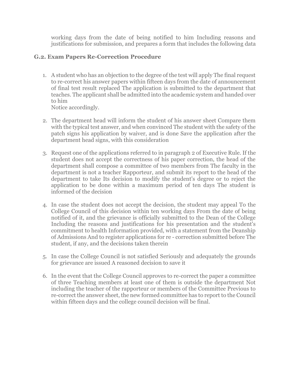working days from the date of being notified to him Including reasons and justifications for submission, and prepares a form that includes the following data

#### **G.2. Exam Papers Re-Correction Procedure**

1. A student who has an objection to the degree of the test will apply The final request to re-correct his answer papers within fifteen days from the date of announcement of final test result replaced The application is submitted to the department that teaches. The applicant shall be admitted into the academic system and handed over to him

Notice accordingly.

- 2. The department head will inform the student of his answer sheet Compare them with the typical test answer, and when convinced The student with the safety of the patch signs his application by waiver, and is done Save the application after the department head signs, with this consideration
- 3. Request one of the applications referred to in paragraph 2 of Executive Rule. If the student does not accept the correctness of his paper correction, the head of the department shall compose a committee of two members from The faculty in the department is not a teacher Rapporteur, and submit its report to the head of the department to take Its decision to modify the student's degree or to reject the application to be done within a maximum period of ten days The student is informed of the decision
- 4. In case the student does not accept the decision, the student may appeal To the College Council of this decision within ten working days From the date of being notified of it, and the grievance is officially submitted to the Dean of the College Including the reasons and justifications for his presentation and the student's commitment to health Information provided, with a statement from the Deanship of Admissions And to register applications for re - correction submitted before The student, if any, and the decisions taken therein
- 5. In case the College Council is not satisfied Seriously and adequately the grounds for grievance are issued A reasoned decision to save it
- 6. In the event that the College Council approves to re-correct the paper a committee of three Teaching members at least one of them is outside the department Not including the teacher of the rapporteur or members of the Committee Previous to re-correct the answer sheet, the new formed committee has to report to the Council within fifteen days and the college council decision will be final.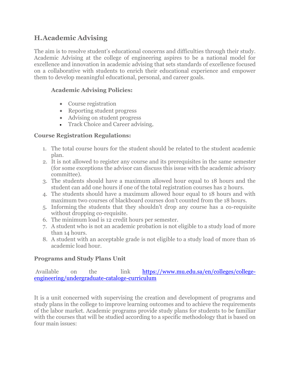# **H.Academic Advising**

The aim is to resolve student's educational concerns and difficulties through their study. Academic Advising at the college of engineering aspires to be a national model for excellence and innovation in academic advising that sets standards of excellence focused on a collaborative with students to enrich their educational experience and empower them to develop meaningful educational, personal, and career goals.

#### **Academic Advising Policies:**

- Course registration
- Reporting student progress
- Advising on student progress
- Track Choice and Career advising.

#### **Course Registration Regulations:**

- 1. The total course hours for the student should be related to the student academic plan.
- 2. It is not allowed to register any course and its prerequisites in the same semester (for some exceptions the advisor can discuss this issue with the academic advisory committee).
- 3. The students should have a maximum allowed hour equal to 18 hours and the student can add one hours if one of the total registration courses has 2 hours.
- 4. The students should have a maximum allowed hour equal to 18 hours and with maximum two courses of blackboard courses don't counted from the 18 hours.
- 5. Informing the students that they shouldn't drop any course has a co-requisite without dropping co-requisite.
- 6. The minimum load is 12 credit hours per semester.
- 7. A student who is not an academic probation is not eligible to a study load of more than 14 hours.
- 8. A student with an acceptable grade is not eligible to a study load of more than 16 academic load hour.

#### **Programs and Study Plans Unit**

Available on the link [https://www.mu.edu.sa/en/colleges/college](https://www.mu.edu.sa/en/colleges/college-engineering/undergraduate-cataloge-curriculum)[engineering/undergraduate-cataloge-curriculum](https://www.mu.edu.sa/en/colleges/college-engineering/undergraduate-cataloge-curriculum)

It is a unit concerned with supervising the creation and development of programs and study plans in the college to improve learning outcomes and to achieve the requirements of the labor market. Academic programs provide study plans for students to be familiar with the courses that will be studied according to a specific methodology that is based on four main issues: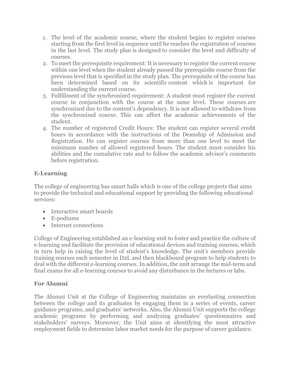- 1. The level of the academic course, where the student begins to register courses starting from the first level in sequence until he reaches the registration of courses in the last level. The study plan is designed to consider the level and difficulty of courses.
- 2. To meet the prerequisite requirement: It is necessary to register the current course within one level when the student already passed the prerequisite course from the previous level that is specified in the study plan. The prerequisite of the course has been determined based on its scientific content which is important for understanding the current course.
- 3. Fulfillment of the synchronized requirement: A student must register the current course in conjunction with the course at the same level. These courses are synchronized due to the content's dependency. It is not allowed to withdraw from the synchronized course. This can affect the academic achievements of the student.
- 4. The number of registered Credit Hours: The student can register several credit hours in accordance with the instructions of the Deanship of Admission and Registration. He can register courses from more than one level to meet the minimum number of allowed registered hours. The student must consider his abilities and the cumulative rate and to follow the academic advisor's comments before registration.

# **E-Learning**

The college of engineering has smart halls which is one of the college projects that aims to provide the technical and educational support by providing the following educational services:

- Interactive smart boards
- E-podiums
- Internet connections

College of Engineering established an e-learning unit to foster and practice the culture of e-learning and facilitate the provision of educational devices and training courses, which in turn help in raising the level of student's knowledge. The unit's members provide training courses each semester in D2L and then blackboard program to help students to deal with the different e-learning courses. In addition, the unit arrange the mid-term and final exams for all e-learning courses to avoid any disturbance in the lectures or labs.

## **For Alumni**

The Alumni Unit at the College of Engineering maintains an everlasting connection between the college and its graduates by engaging them in a series of events, career guidance programs, and graduates' networks. Also, the Alumni Unit supports the college academic programs by performing and analyzing graduates' questionnaires and stakeholders' surveys. Moreover, the Unit aims at identifying the most attractive employment fields to determine labor market needs for the purpose of career guidance.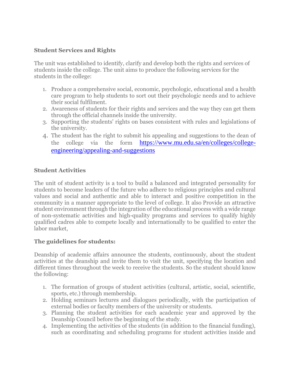#### **Student Services and Rights**

The unit was established to identify, clarify and develop both the rights and services of students inside the college. The unit aims to produce the following services for the students in the college:

- 1. Produce a comprehensive social, economic, psychologic, educational and a health care program to help students to sort out their psychologic needs and to achieve their social fulfilment.
- 2. Awareness of students for their rights and services and the way they can get them through the official channels inside the university.
- 3. Supporting the students' rights on bases consistent with rules and legislations of the university.
- 4. The student has the right to submit his appealing and suggestions to the dean of the college via the form [https://www.mu.edu.sa/en/colleges/college](https://www.mu.edu.sa/en/colleges/college-engineering/appealing-and-suggestions)[engineering/appealing-and-suggestions](https://www.mu.edu.sa/en/colleges/college-engineering/appealing-and-suggestions)

#### **Student Activities**

The unit of student activity is a tool to build a balanced and integrated personality for students to become leaders of the future who adhere to religious principles and cultural values and social and authentic and able to interact and positive competition in the community in a manner appropriate to the level of college. It also Provide an attractive student environment through the integration of the educational process with a wide range of non-systematic activities and high-quality programs and services to qualify highly qualified cadres able to compete locally and internationally to be qualified to enter the labor market,

#### **The guidelines for students:**

Deanship of academic affairs announce the students, continuously, about the student activities at the deanship and invite them to visit the unit, specifying the location and different times throughout the week to receive the students. So the student should know the following:

- 1. The formation of groups of student activities (cultural, artistic, social, scientific, sports, etc.) through membership.
- 2. Holding seminars lectures and dialogues periodically, with the participation of external bodies or faculty members of the university or students.
- 3. Planning the student activities for each academic year and approved by the Deanship Council before the beginning of the study.
- 4. Implementing the activities of the students (in addition to the financial funding), such as coordinating and scheduling programs for student activities inside and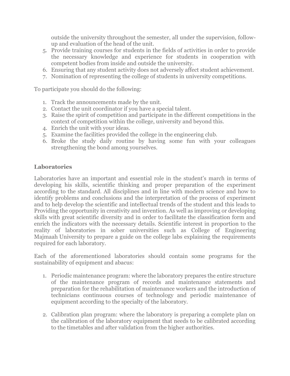outside the university throughout the semester, all under the supervision, followup and evaluation of the head of the unit.

- 5. Provide training courses for students in the fields of activities in order to provide the necessary knowledge and experience for students in cooperation with competent bodies from inside and outside the university.
- 6. Ensuring that any student activity does not adversely affect student achievement.
- 7. Nomination of representing the college of students in university competitions.

To participate you should do the following:

- 1. Track the announcements made by the unit.
- 2. Contact the unit coordinator if you have a special talent.
- 3. Raise the spirit of competition and participate in the different competitions in the context of competition within the college, university and beyond this.
- 4. Enrich the unit with your ideas.
- 5. Examine the facilities provided the college in the engineering club.
- 6. Broke the study daily routine by having some fun with your colleagues strengthening the bond among yourselves.

#### **Laboratories**

Laboratories have an important and essential role in the student's march in terms of developing his skills, scientific thinking and proper preparation of the experiment according to the standard. All disciplines and in line with modern science and how to identify problems and conclusions and the interpretation of the process of experiment and to help develop the scientific and intellectual trends of the student and this leads to Providing the opportunity in creativity and invention. As well as improving or developing skills with great scientific diversity and in order to facilitate the classification form and enrich the indicators with the necessary details. Scientific interest in proportion to the reality of laboratories in sober universities such as College of Engineering Majmaah University to prepare a guide on the college labs explaining the requirements required for each laboratory.

Each of the aforementioned laboratories should contain some programs for the sustainability of equipment and abacus:

- 1. Periodic maintenance program: where the laboratory prepares the entire structure of the maintenance program of records and maintenance statements and preparation for the rehabilitation of maintenance workers and the introduction of technicians continuous courses of technology and periodic maintenance of equipment according to the specialty of the laboratory.
- 2. Calibration plan program: where the laboratory is preparing a complete plan on the calibration of the laboratory equipment that needs to be calibrated according to the timetables and after validation from the higher authorities.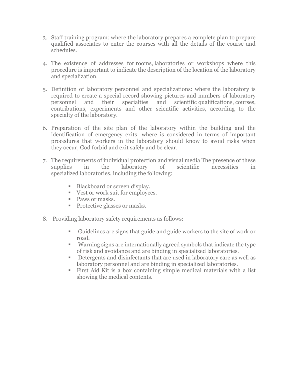- 3. Staff training program: where the laboratory prepares a complete plan to prepare qualified associates to enter the courses with all the details of the course and schedules.
- 4. The existence of addresses for rooms, laboratories or workshops where this procedure is important to indicate the description of the location of the laboratory and specialization.
- 5. Definition of laboratory personnel and specializations: where the laboratory is required to create a special record showing pictures and numbers of laboratory personnel and their specialties and scientific qualifications, courses, contributions, experiments and other scientific activities, according to the specialty of the laboratory.
- 6. Preparation of the site plan of the laboratory within the building and the identification of emergency exits: where is considered in terms of important procedures that workers in the laboratory should know to avoid risks when they occur, God forbid and exit safely and be clear.
- 7. The requirements of individual protection and visual media The presence of these supplies in the laboratory of scientific necessities in specialized laboratories, including the following:
	- Blackboard or screen display.
	- Vest or work suit for employees.
	- Paws or masks.
	- **Protective glasses or masks.**
- 8. Providing laboratory safety requirements as follows:
	- Guidelines are signs that guide and guide workers to the site of work or road.
	- Warning signs are internationally agreed symbols that indicate the type of risk and avoidance and are binding in specialized laboratories.
	- Detergents and disinfectants that are used in laboratory care as well as laboratory personnel and are binding in specialized laboratories.
	- First Aid Kit is a box containing simple medical materials with a list showing the medical contents.